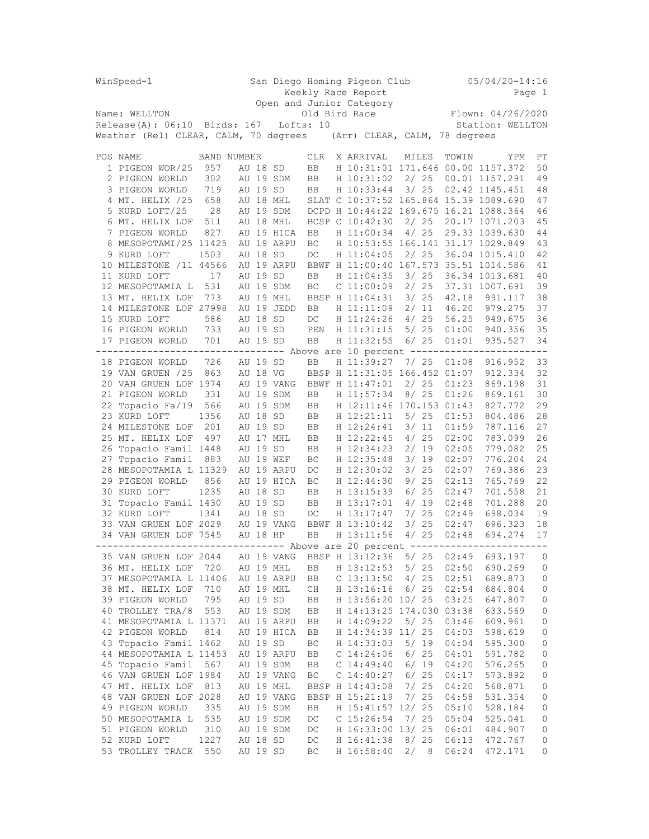| WinSpeed-1                                                                    |             |                      |                                        | San Diego Homing Pigeon Club |                       |  |               |                          |  |                   |              |                               | $05/04/20 - 14:16$                                       |         |                     |
|-------------------------------------------------------------------------------|-------------|----------------------|----------------------------------------|------------------------------|-----------------------|--|---------------|--------------------------|--|-------------------|--------------|-------------------------------|----------------------------------------------------------|---------|---------------------|
|                                                                               |             |                      |                                        |                              | Weekly Race Report    |  |               |                          |  |                   |              |                               |                                                          | Page 1  |                     |
| Name: WELLTON                                                                 |             |                      |                                        | Open and Junior Category     |                       |  |               |                          |  |                   |              |                               | Flown: 04/26/2020                                        |         |                     |
|                                                                               |             |                      | Release(A): 06:10 Birds: 167 Lofts: 10 |                              |                       |  | Old Bird Race |                          |  |                   |              | Station: WELLTON              |                                                          |         |                     |
| Weather (Rel) CLEAR, CALM, 70 degrees (Arr) CLEAR, CALM, 78 degrees           |             |                      |                                        |                              |                       |  |               |                          |  |                   |              |                               |                                                          |         |                     |
|                                                                               |             |                      |                                        |                              |                       |  |               |                          |  |                   |              |                               |                                                          |         |                     |
| POS NAME                                                                      | BAND NUMBER |                      |                                        |                              | CLR                   |  |               | X ARRIVAL                |  |                   | MILES        | TOWIN                         |                                                          | YPM     | РT                  |
| 1 PIGEON WOR/25                                                               | 957         | AU 18 SD             |                                        |                              | BB                    |  |               |                          |  |                   |              |                               | H 10:31:01 171.646 00.00 1157.372                        |         | 50                  |
| 2 PIGEON WORLD                                                                | 302         |                      |                                        | AU 19 SDM                    | BB                    |  |               | H 10:31:02               |  |                   | 2/25         |                               | 00.01 1157.291                                           |         | 49                  |
| 3 PIGEON WORLD                                                                | 719         | AU 19 SD             |                                        |                              | BB                    |  |               | H 10:33:44               |  |                   | 3/25         |                               | 02.42 1145.451                                           |         | 48                  |
| 4 MT. HELIX /25                                                               | 658         |                      |                                        | AU 18 MHL                    |                       |  |               |                          |  |                   |              |                               | SLAT C 10:37:52 165.864 15.39 1089.690                   |         | 47                  |
| 5 KURD LOFT/25<br>6 MT. HELIX LOF                                             | 28<br>511   |                      |                                        | AU 19 SDM<br>AU 18 MHL       | BCSP C 10:42:30       |  |               |                          |  |                   | 2/25         |                               | DCPD H 10:44:22 169.675 16.21 1088.364<br>20.17 1071.203 |         | 46<br>45            |
| 7 PIGEON WORLD                                                                | 827         |                      |                                        | AU 19 HICA                   | BB                    |  |               | H 11:00:34               |  |                   | 4/25         |                               | 29.33 1039.630                                           |         | 44                  |
| 8 MESOPOTAMI/25 11425                                                         |             |                      |                                        | AU 19 ARPU                   | ВC                    |  |               |                          |  |                   |              |                               | H 10:53:55 166.141 31.17 1029.849                        |         | 43                  |
| 9 KURD LOFT                                                                   | 1503        | AU 18 SD             |                                        |                              | DC                    |  |               | H 11:04:05               |  |                   | 2/25         |                               | 36.04 1015.410                                           |         | 42                  |
| 10 MILESTONE /11 44566                                                        |             |                      |                                        | AU 19 ARPU                   |                       |  |               |                          |  |                   |              |                               | BBWF H 11:00:40 167.573 35.51 1014.586                   |         | 41                  |
| 11 KURD LOFT                                                                  | 17          | AU 19 SD             |                                        |                              | BB                    |  |               | H 11:04:35               |  |                   | 3/25         |                               | 36.34 1013.681                                           |         | 40                  |
| 12 MESOPOTAMIA L                                                              | 531         |                      |                                        | AU 19 SDM                    | ВC                    |  |               | $C_11:00:09$             |  |                   | 2/25         |                               | 37.31 1007.691                                           |         | 39                  |
| 13 MT. HELIX LOF 773                                                          |             |                      |                                        | AU 19 MHL                    | BBSP H 11:04:31       |  |               |                          |  | 3/25              |              | 42.18                         | 991.117                                                  |         | 38                  |
| 14 MILESTONE LOF 27998                                                        |             |                      |                                        | AU 19 JEDD                   | BB                    |  |               | H 11:11:09               |  |                   | 2/11         | 46.20                         | 979.275                                                  |         | 37                  |
| 15 KURD LOFT                                                                  | 586         | AU 18 SD             |                                        |                              | DC                    |  |               | H 11:24:26               |  | 4/25              |              | 56.25                         | 949.675                                                  |         | 36                  |
| 16 PIGEON WORLD 733                                                           |             | AU 19 SD             |                                        |                              | PEN                   |  |               | H 11:31:15               |  |                   |              | 5/ 25 01:00                   | 940.356                                                  |         | 35                  |
| 17 PIGEON WORLD                                                               | 701         | AU 19 SD             |                                        |                              | BB                    |  |               | H 11:32:55               |  |                   | 6/25         | 01:01                         | 935.527                                                  |         | 34                  |
| ------------------------------ Above are 10 percent ---------------           |             |                      |                                        |                              |                       |  |               |                          |  |                   |              |                               |                                                          | ------- |                     |
| 18 PIGEON WORLD                                                               | 726         | AU 19 SD             |                                        |                              | BB                    |  |               | H 11:39:27               |  |                   |              | $7/25$ 01:08                  | 916.952                                                  |         | 33                  |
| 19 VAN GRUEN /25                                                              | 863         | AU 18 VG             |                                        |                              |                       |  |               |                          |  |                   |              | BBSP H 11:31:05 166.452 01:07 | 912.334                                                  |         | 32                  |
| 20 VAN GRUEN LOF 1974                                                         |             |                      |                                        | AU 19 VANG                   | BBWF H 11:47:01       |  |               |                          |  |                   | 2/25         | 01:23                         | 869.198                                                  |         | 31                  |
| 21 PIGEON WORLD                                                               | 331         |                      |                                        | AU 19 SDM                    | BB                    |  |               | H 11:57:34               |  |                   | 8/25         | 01:26                         | 869.161                                                  |         | 30                  |
| 22 Topacio Fa/19                                                              | 566         |                      |                                        | AU 19 SDM                    | BB                    |  |               |                          |  |                   |              | H 12:11:46 170.153 01:43      | 827.772                                                  |         | 29                  |
| 23 KURD LOFT                                                                  | 1356        | AU 18 SD             |                                        |                              | BB                    |  |               | H 12:21:11               |  | 5/ 25             |              | 01:53                         | 804.486                                                  |         | 28                  |
| 24 MILESTONE LOF                                                              | 201         | AU 19 SD             |                                        |                              | BB                    |  |               | H 12:24:41               |  |                   | 3/11         | 01:59                         | 787.116                                                  |         | 27                  |
| 25 MT. HELIX LOF                                                              | 497         |                      |                                        | AU 17 MHL                    | BB                    |  |               | H 12:22:45               |  | 4/25              |              | 02:00                         | 783.099                                                  |         | 26                  |
| 26 Topacio Famil 1448                                                         |             | AU 19 SD             |                                        |                              | BB                    |  |               | H 12:34:23               |  |                   | 2/19         | 02:05                         | 779.082                                                  |         | 25                  |
| 27 Topacio Famil                                                              | 883         |                      |                                        | AU 19 WEF                    | BC                    |  |               | H 12:35:48               |  |                   | 3/19         | 02:07                         | 776.204                                                  |         | 24                  |
| 28 MESOPOTAMIA L 11329                                                        |             |                      |                                        | AU 19 ARPU                   | DC                    |  |               | H 12:30:02               |  |                   | 3/25         | 02:07                         | 769.386                                                  |         | 23                  |
| 29 PIGEON WORLD<br>30 KURD LOFT                                               | 856         |                      |                                        | AU 19 HICA                   | BC                    |  |               | H 12:44:30<br>H 13:15:39 |  |                   | 9/25<br>6/25 | 02:13                         | 765.769                                                  |         | 22                  |
|                                                                               | 1235        | AU 18 SD             |                                        |                              | BB                    |  |               |                          |  |                   |              | 02:47<br>02:48                | 701.558<br>701.288                                       |         | 21                  |
| 31 Topacio Famil 1430<br>32 KURD LOFT                                         | 1341        | AU 19 SD<br>AU 18 SD |                                        |                              | BB                    |  |               | H 13:17:01<br>H 13:17:47 |  |                   | 4/19<br>7/25 | 02:49                         | 698.034                                                  |         | 20<br>19            |
| 33 VAN GRUEN LOF 2029                                                         |             |                      |                                        | AU 19 VANG                   | DC<br>BBWF H 13:10:42 |  |               |                          |  |                   | 3/25         | 02:47                         | 696.323                                                  |         | 18                  |
| 34 VAN GRUEN LOF 7545                                                         |             | AU 18 HP             |                                        |                              | <b>BB</b>             |  |               | H 13:11:56               |  |                   | 4/25         | 02:48                         | 694.274                                                  |         | 17                  |
| ------------------------------- Above are 20 percent ------------------------ |             |                      |                                        |                              |                       |  |               |                          |  |                   |              |                               |                                                          |         |                     |
| 35 VAN GRUEN LOF 2044                                                         |             |                      |                                        | AU 19 VANG                   | BBSP H 13:12:36       |  |               |                          |  |                   | 5/25         | 02:49                         | 693.197                                                  |         | 0                   |
| 36 MT. HELIX LOF 720                                                          |             |                      |                                        | AU 19 MHL                    | BB                    |  |               | H 13:12:53               |  |                   | 5/25         | 02:50                         | 690.269                                                  |         | 0                   |
| 37 MESOPOTAMIA L 11406                                                        |             |                      |                                        | AU 19 ARPU                   | BB                    |  |               | $C$ 13:13:50             |  |                   | 4/25         | 02:51                         | 689.873                                                  |         | 0                   |
| 38 MT. HELIX LOF                                                              | 710         |                      |                                        | AU 19 MHL                    | CH                    |  |               | H 13:16:16               |  |                   | $6/25$       | 02:54                         | 684.804                                                  |         | $\mathsf{O}\xspace$ |
| 39 PIGEON WORLD                                                               | 795         | AU 19 SD             |                                        |                              | BB                    |  |               |                          |  | H 13:56:20 10/ 25 |              | 03:25                         | 647.807                                                  |         | 0                   |
| 40 TROLLEY TRA/8                                                              | 553         |                      |                                        | AU 19 SDM                    | BB                    |  |               |                          |  |                   |              | H 14:13:25 174.030 03:38      | 633.569                                                  |         | 0                   |
| 41 MESOPOTAMIA L 11371                                                        |             |                      |                                        | AU 19 ARPU                   | BB                    |  |               | H 14:09:22               |  |                   | 5/25         | 03:46                         | 609.961                                                  |         | 0                   |
| 42 PIGEON WORLD                                                               | 814         |                      |                                        | AU 19 HICA                   | BB                    |  |               |                          |  | H 14:34:39 11/ 25 |              | 04:03                         | 598.619                                                  |         | 0                   |
| 43 Topacio Famil 1462                                                         |             | AU 19 SD             |                                        |                              | ВC                    |  |               | H 14:33:03               |  |                   | 5/19         | 04:04                         | 595.300                                                  |         | $\mathsf{O}\xspace$ |
| 44 MESOPOTAMIA L 11453                                                        |             |                      |                                        | AU 19 ARPU                   | ВB                    |  |               | $C$ 14:24:06             |  |                   | 6/25         | 04:01                         | 591.782                                                  |         | 0                   |
| 45 Topacio Famil                                                              | 567         |                      |                                        | AU 19 SDM                    | BB                    |  |               | $C$ 14:49:40             |  |                   | 6/19         | 04:20                         | 576.265                                                  |         | 0                   |
| 46 VAN GRUEN LOF 1984                                                         |             |                      |                                        | AU 19 VANG                   | ВC                    |  |               | $C$ 14:40:27             |  |                   | 6/25         | 04:17                         | 573.892                                                  |         | 0                   |
| 47 MT. HELIX LOF                                                              | 813         |                      |                                        | AU 19 MHL                    | BBSP H 14:43:08       |  |               |                          |  |                   | 7/25         | 04:20                         | 568.871                                                  |         | 0                   |
| 48 VAN GRUEN LOF 2028                                                         |             |                      |                                        | AU 19 VANG                   | BBSP H 15:21:19       |  |               |                          |  |                   | 7/25         | 04:58                         | 531.354                                                  |         | $\mathsf{O}\xspace$ |
| 49 PIGEON WORLD                                                               | 335         |                      |                                        | AU 19 SDM                    | BB                    |  |               |                          |  | H 15:41:57 12/ 25 |              | 05:10                         | 528.184                                                  |         | $\mathbb O$         |
| 50 MESOPOTAMIA L                                                              | 535         |                      |                                        | AU 19 SDM                    | DC                    |  |               | $C$ 15:26:54             |  |                   | 7/25         | 05:04                         | 525.041                                                  |         | 0                   |
| 51 PIGEON WORLD                                                               | 310         |                      |                                        | AU 19 SDM                    | DC                    |  |               |                          |  | H 16:33:00 13/ 25 |              | 06:01                         | 484.907                                                  |         | 0                   |
| 52 KURD LOFT<br>53 TROLLEY TRACK                                              | 1227<br>550 | AU 18 SD<br>AU 19 SD |                                        |                              | DC<br>ВC              |  |               | H 16:41:38<br>H 16:58:40 |  |                   | 8/25<br>2/8  | 06:13<br>06:24                | 472.767<br>472.171                                       |         | 0<br>0              |
|                                                                               |             |                      |                                        |                              |                       |  |               |                          |  |                   |              |                               |                                                          |         |                     |